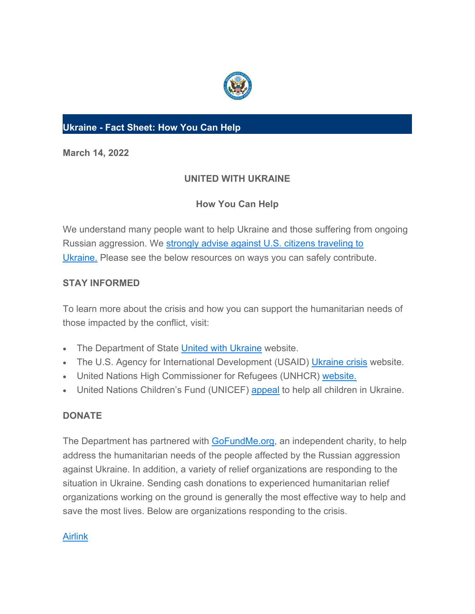

## **Ukraine - Fact Sheet: How You Can Help**

**March 14, 2022**

# **UNITED WITH UKRAINE**

## **How You Can Help**

We understand many people want to help Ukraine and those suffering from ongoing Russian aggression. We [strongly advise against U.S. citizens traveling to](https://e.america.gov/t/i-l-ckyedt-yhjhtldtdl-r/)  [Ukraine.](https://e.america.gov/t/i-l-ckyedt-yhjhtldtdl-r/) Please see the below resources on ways you can safely contribute.

## **STAY INFORMED**

To learn more about the crisis and how you can support the humanitarian needs of those impacted by the conflict, visit:

- The Department of State [United with Ukraine](https://e.america.gov/t/i-l-ckyedt-yhjhtldtdl-y/) website.
- The U.S. Agency for International Development (USAID) [Ukraine crisis](https://e.america.gov/t/i-l-ckyedt-yhjhtldtdl-j/) website.
- United Nations High Commissioner for Refugees (UNHCR) [website.](https://e.america.gov/t/i-l-ckyedt-yhjhtldtdl-t/)
- United Nations Children's Fund (UNICEF) [appeal](https://e.america.gov/t/i-l-ckyedt-yhjhtldtdl-d/) to help all children in Ukraine.

## **DONATE**

The Department has partnered with [GoFundMe.org,](https://e.america.gov/t/i-l-ckyedt-yhjhtldtdl-h/) an independent charity, to help address the humanitarian needs of the people affected by the Russian aggression against Ukraine. In addition, a variety of relief organizations are responding to the situation in Ukraine. Sending cash donations to experienced humanitarian relief organizations working on the ground is generally the most effective way to help and save the most lives. Below are organizations responding to the crisis.

## [Airlink](https://e.america.gov/t/i-l-ckyedt-yhjhtldtdl-k/)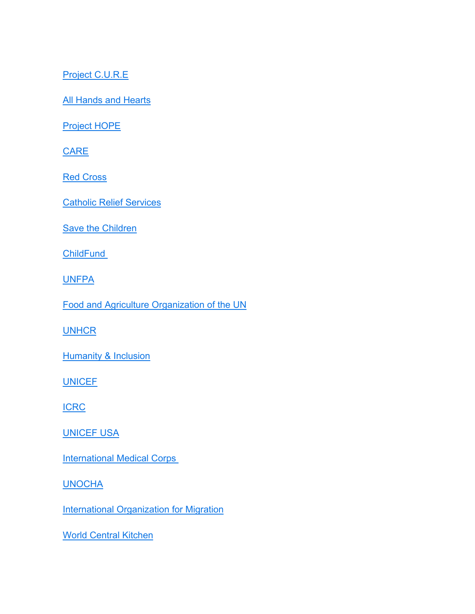[Project C.U.R.E](https://e.america.gov/t/i-l-ckyedt-yhjhtldtdl-u/)

[All Hands and Hearts](https://e.america.gov/t/i-l-ckyedt-yhjhtldtdl-o/)

[Project HOPE](https://e.america.gov/t/i-l-ckyedt-yhjhtldtdl-b/)

**[CARE](https://e.america.gov/t/i-l-ckyedt-yhjhtldtdl-n/)** 

**[Red Cross](https://e.america.gov/t/i-l-ckyedt-yhjhtldtdl-p/)** 

[Catholic Relief Services](https://e.america.gov/t/i-l-ckyedt-yhjhtldtdl-x/)

[Save the Children](https://e.america.gov/t/i-l-ckyedt-yhjhtldtdl-m/)

**[ChildFund](https://e.america.gov/t/i-l-ckyedt-yhjhtldtdl-c/)** 

**[UNFPA](https://e.america.gov/t/i-l-ckyedt-yhjhtldtdl-q/)** 

[Food and Agriculture Organization of the UN](https://e.america.gov/t/i-l-ckyedt-yhjhtldtdl-a/)

**[UNHCR](https://e.america.gov/t/i-l-ckyedt-yhjhtldtdl-f/)** 

**[Humanity & Inclusion](https://e.america.gov/t/i-l-ckyedt-yhjhtldtdl-z/)** 

**[UNICEF](https://e.america.gov/t/i-l-ckyedt-yhjhtldtdl-v/)** 

[ICRC](https://e.america.gov/t/i-l-ckyedt-yhjhtldtdl-e/)

[UNICEF USA](https://e.america.gov/t/i-l-ckyedt-yhjhtldtdl-s/)

**[International Medical Corps](https://e.america.gov/t/i-l-ckyedt-yhjhtldtdl-g/)** 

**[UNOCHA](https://e.america.gov/t/i-l-ckyedt-yhjhtldtdl-w/)** 

**[International Organization for Migration](https://e.america.gov/t/i-l-ckyedt-yhjhtldtdl-yd/)** 

[World Central Kitchen](https://e.america.gov/t/i-l-ckyedt-yhjhtldtdl-yh/)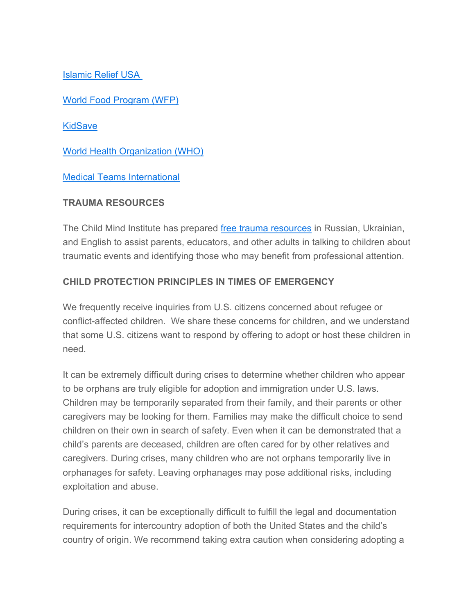[Islamic Relief USA](https://e.america.gov/t/i-l-ckyedt-yhjhtldtdl-yk/)

[World Food Program \(WFP\)](https://e.america.gov/t/i-l-ckyedt-yhjhtldtdl-yu/)

**[KidSave](https://e.america.gov/t/i-l-ckyedt-yhjhtldtdl-jl/)** 

[World Health Organization \(WHO\)](https://e.america.gov/t/i-l-ckyedt-yhjhtldtdl-jr/)

[Medical Teams International](https://e.america.gov/t/i-l-ckyedt-yhjhtldtdl-jy/)

#### **TRAUMA RESOURCES**

The Child Mind Institute has prepared [free trauma resources](https://e.america.gov/t/i-l-ckyedt-yhjhtldtdl-jj/) in Russian, Ukrainian, and English to assist parents, educators, and other adults in talking to children about traumatic events and identifying those who may benefit from professional attention.

## **CHILD PROTECTION PRINCIPLES IN TIMES OF EMERGENCY**

We frequently receive inquiries from U.S. citizens concerned about refugee or conflict-affected children. We share these concerns for children, and we understand that some U.S. citizens want to respond by offering to adopt or host these children in need.

It can be extremely difficult during crises to determine whether children who appear to be orphans are truly eligible for adoption and immigration under U.S. laws. Children may be temporarily separated from their family, and their parents or other caregivers may be looking for them. Families may make the difficult choice to send children on their own in search of safety. Even when it can be demonstrated that a child's parents are deceased, children are often cared for by other relatives and caregivers. During crises, many children who are not orphans temporarily live in orphanages for safety. Leaving orphanages may pose additional risks, including exploitation and abuse.

During crises, it can be exceptionally difficult to fulfill the legal and documentation requirements for intercountry adoption of both the United States and the child's country of origin. We recommend taking extra caution when considering adopting a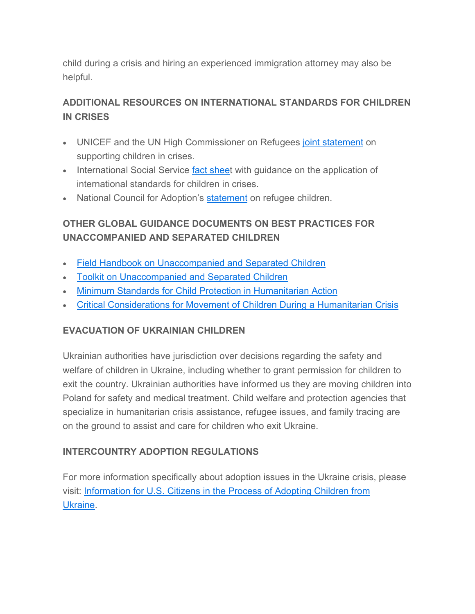child during a crisis and hiring an experienced immigration attorney may also be helpful.

# **ADDITIONAL RESOURCES ON INTERNATIONAL STANDARDS FOR CHILDREN IN CRISES**

- UNICEF and the UN High Commissioner on Refugees [joint statement](https://e.america.gov/t/i-l-ckyedt-yhjhtldtdl-jt/) on supporting children in crises.
- International Social Service [fact sheet](https://e.america.gov/t/i-l-ckyedt-yhjhtldtdl-ji/) with guidance on the application of international standards for children in crises.
- National Council for Adoption's **[statement](https://e.america.gov/t/i-l-ckyedt-yhjhtldtdl-jd/)** on refugee children.

# **OTHER GLOBAL GUIDANCE DOCUMENTS ON BEST PRACTICES FOR UNACCOMPANIED AND SEPARATED CHILDREN**

- [Field Handbook on Unaccompanied and Separated Children](https://e.america.gov/t/i-l-ckyedt-yhjhtldtdl-jh/)
- [Toolkit on Unaccompanied and Separated Children](https://e.america.gov/t/i-l-ckyedt-yhjhtldtdl-jk/)
- [Minimum Standards for Child Protection in Humanitarian Action](https://e.america.gov/t/i-l-ckyedt-yhjhtldtdl-ju/)
- [Critical Considerations for Movement of Children During a Humanitarian Crisis](https://e.america.gov/t/i-l-ckyedt-yhjhtldtdl-tl/)

### **EVACUATION OF UKRAINIAN CHILDREN**

Ukrainian authorities have jurisdiction over decisions regarding the safety and welfare of children in Ukraine, including whether to grant permission for children to exit the country. Ukrainian authorities have informed us they are moving children into Poland for safety and medical treatment. Child welfare and protection agencies that specialize in humanitarian crisis assistance, refugee issues, and family tracing are on the ground to assist and care for children who exit Ukraine.

## **INTERCOUNTRY ADOPTION REGULATIONS**

For more information specifically about adoption issues in the Ukraine crisis, please visit: [Information for U.S. Citizens in the Process of Adopting Children from](https://e.america.gov/t/i-l-ckyedt-yhjhtldtdl-tr/)  [Ukraine.](https://e.america.gov/t/i-l-ckyedt-yhjhtldtdl-tr/)